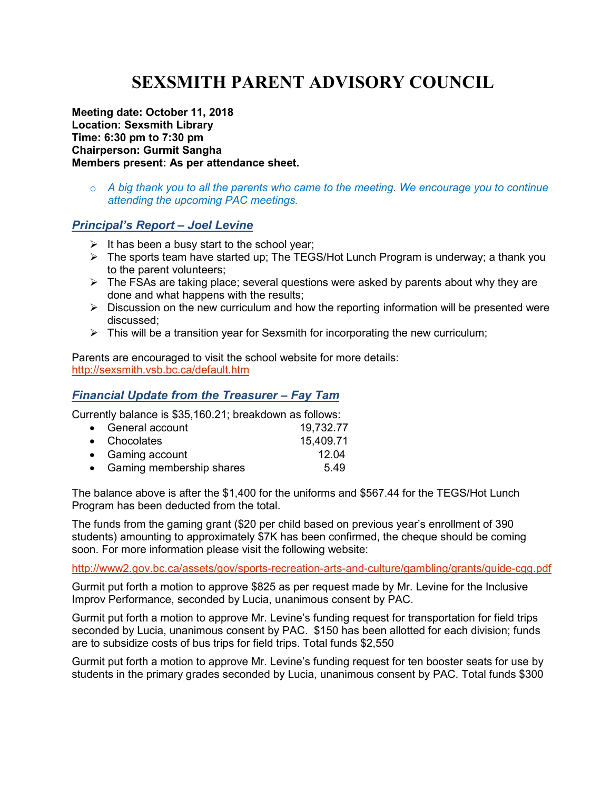# **SEXSMITH PARENT ADVISORY COUNCIL**

**Meeting date: October 11, 2018 Location: Sexsmith Library Time: 6:30 pm to 7:30 pm Chairperson: Gurmit Sangha Members present: As per attendance sheet.** 

o *A big thank you to all the parents who came to the meeting. We encourage you to continue attending the upcoming PAC meetings.* 

#### *Principal's Report – Joel Levine*

- $\triangleright$  It has been a busy start to the school year;
- $\triangleright$  The sports team have started up; The TEGS/Hot Lunch Program is underway; a thank you to the parent volunteers;
- $\triangleright$  The FSAs are taking place; several questions were asked by parents about why they are done and what happens with the results;
- $\triangleright$  Discussion on the new curriculum and how the reporting information will be presented were discussed;
- $\triangleright$  This will be a transition year for Sexsmith for incorporating the new curriculum;

Parents are encouraged to visit the school website for more details: http://sexsmith.vsb.bc.ca/default.htm

## *Financial Update from the Treasurer – Fay Tam*

Currently balance is \$35,160.21; breakdown as follows:

| • General account          | 19,732.77 |
|----------------------------|-----------|
| • Chocolates               | 15,409.71 |
| • Gaming account           | 12.04     |
| • Gaming membership shares | 5.49      |
|                            |           |

The balance above is after the \$1,400 for the uniforms and \$567.44 for the TEGS/Hot Lunch Program has been deducted from the total.

The funds from the gaming grant (\$20 per child based on previous year's enrollment of 390 students) amounting to approximately \$7K has been confirmed, the cheque should be coming soon. For more information please visit the following website:

http://www2.gov.bc.ca/assets/gov/sports-recreation-arts-and-culture/gambling/grants/guide-cgg.pdf

Gurmit put forth a motion to approve \$825 as per request made by Mr. Levine for the Inclusive Improv Performance, seconded by Lucia, unanimous consent by PAC.

Gurmit put forth a motion to approve Mr. Levine's funding request for transportation for field trips seconded by Lucia, unanimous consent by PAC. \$150 has been allotted for each division; funds are to subsidize costs of bus trips for field trips. Total funds \$2,550

Gurmit put forth a motion to approve Mr. Levine's funding request for ten booster seats for use by students in the primary grades seconded by Lucia, unanimous consent by PAC. Total funds \$300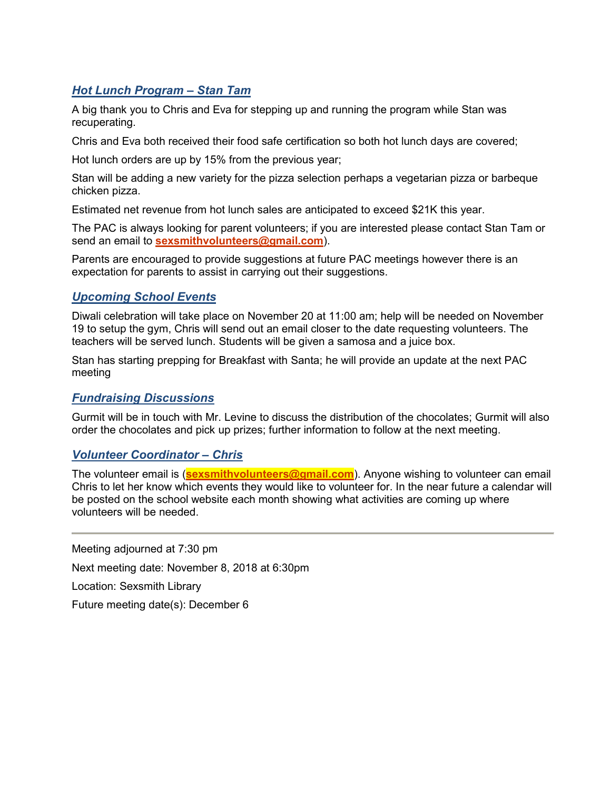# *Hot Lunch Program – Stan Tam*

A big thank you to Chris and Eva for stepping up and running the program while Stan was recuperating.

Chris and Eva both received their food safe certification so both hot lunch days are covered;

Hot lunch orders are up by 15% from the previous year;

Stan will be adding a new variety for the pizza selection perhaps a vegetarian pizza or barbeque chicken pizza.

Estimated net revenue from hot lunch sales are anticipated to exceed \$21K this year.

The PAC is always looking for parent volunteers; if you are interested please contact Stan Tam or send an email to **sexsmithvolunteers@gmail.com**).

Parents are encouraged to provide suggestions at future PAC meetings however there is an expectation for parents to assist in carrying out their suggestions.

## *Upcoming School Events*

Diwali celebration will take place on November 20 at 11:00 am; help will be needed on November 19 to setup the gym, Chris will send out an email closer to the date requesting volunteers. The teachers will be served lunch. Students will be given a samosa and a juice box.

Stan has starting prepping for Breakfast with Santa; he will provide an update at the next PAC meeting

## *Fundraising Discussions*

Gurmit will be in touch with Mr. Levine to discuss the distribution of the chocolates; Gurmit will also order the chocolates and pick up prizes; further information to follow at the next meeting.

## *Volunteer Coordinator – Chris*

The volunteer email is (**sexsmithvolunteers@gmail.com**). Anyone wishing to volunteer can email Chris to let her know which events they would like to volunteer for. In the near future a calendar will be posted on the school website each month showing what activities are coming up where volunteers will be needed.

Meeting adjourned at 7:30 pm Next meeting date: November 8, 2018 at 6:30pm Location: Sexsmith Library Future meeting date(s): December 6